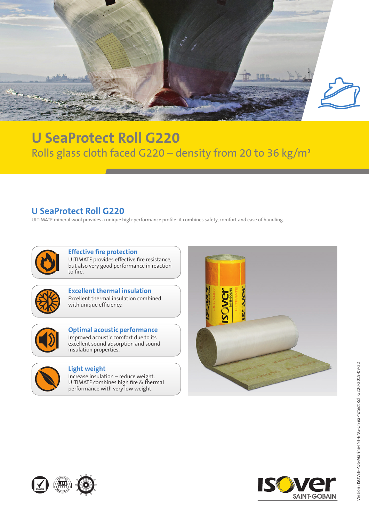

## **U SeaProtect Roll G220** Rolls glass cloth faced G220 - density from 20 to 36 kg/m<sup>3</sup>

## **U SeaProtect Roll G220**

ULTIMATE mineral wool provides a unique high-performance profile: it combines safety, comfort and ease of handling.



**Effective fire protection** ULTIMATE provides effective fire resistance, but also very good performance in reaction to fire.



**Excellent thermal insulation** Excellent thermal insulation combined with unique efficiency.



**Optimal acoustic performance** Improved acoustic comfort due to its excellent sound absorption and sound insulation properties.



## **Light weight**

Increase insulation – reduce weight. ULTIMATE combines high fire & thermal performance with very low weight.